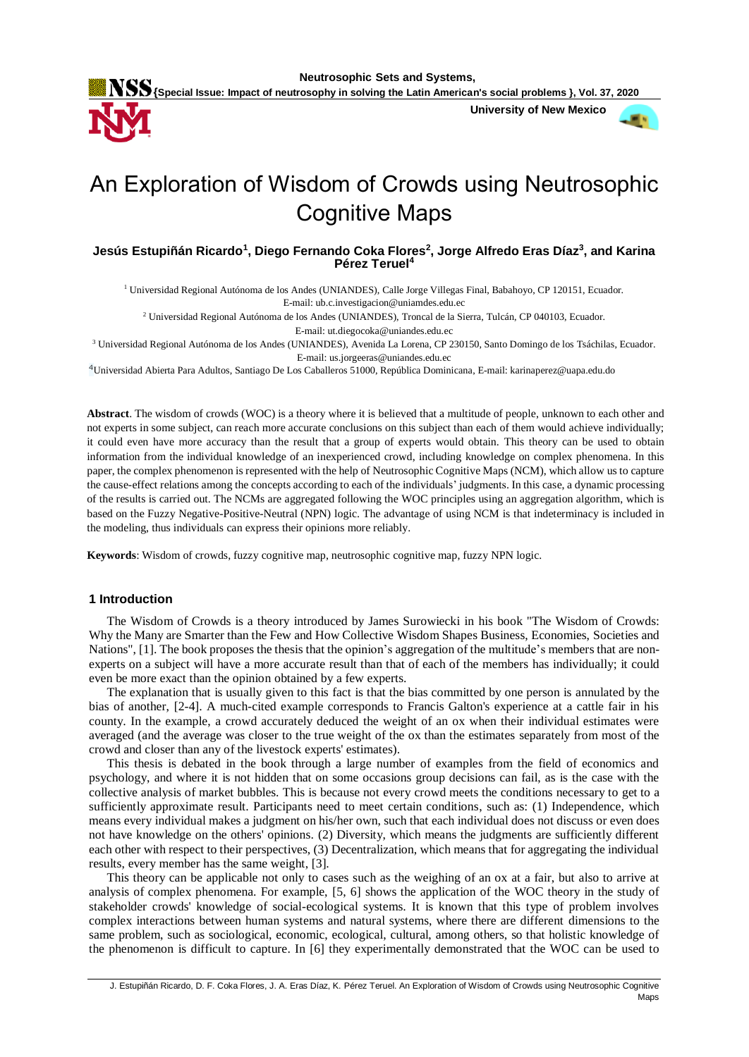**Neutrosophic Sets and Systems,** 

**{Special Issue: Impact of neutrosophy in solving the Latin American's social problems }, Vol. 37, 2020**

 **University of New Mexico**



# An Exploration of Wisdom of Crowds using Neutrosophic Cognitive Maps

# **Jesús Estupiñán Ricardo<sup>1</sup> , Diego Fernando Coka Flores<sup>2</sup> , Jorge Alfredo Eras Díaz<sup>3</sup> , and Karina Pérez Teruel<sup>4</sup>**

<sup>1</sup> Universidad Regional Autónoma de los Andes (UNIANDES), Calle Jorge Villegas Final, Babahoyo, CP 120151, Ecuador. E-mail: [ub.c.investigacion@uniamdes.edu.ec](mailto:ub.c.investigacion@uniamdes.edu.ec)

<sup>2</sup> Universidad Regional Autónoma de los Andes (UNIANDES), Troncal de la Sierra, Tulcán, CP 040103, Ecuador.

E-mail: ut.diegocoka@uniandes.edu.ec

<sup>3</sup> Universidad Regional Autónoma de los Andes (UNIANDES), Avenida La Lorena, CP 230150, Santo Domingo de los Tsáchilas, Ecuador. E-mail: us.jorgeeras@uniandes.edu.ec

<sup>4</sup>Universidad Abierta Para Adultos, Santiago De Los Caballeros 51000, República Dominicana, E-mail: karinaperez@uapa.edu.do

**Abstract**. The wisdom of crowds (WOC) is a theory where it is believed that a multitude of people, unknown to each other and not experts in some subject, can reach more accurate conclusions on this subject than each of them would achieve individually; it could even have more accuracy than the result that a group of experts would obtain. This theory can be used to obtain information from the individual knowledge of an inexperienced crowd, including knowledge on complex phenomena. In this paper, the complex phenomenon is represented with the help of Neutrosophic Cognitive Maps (NCM), which allow us to capture the cause-effect relations among the concepts according to each of the individuals' judgments. In this case, a dynamic processing of the results is carried out. The NCMs are aggregated following the WOC principles using an aggregation algorithm, which is based on the Fuzzy Negative-Positive-Neutral (NPN) logic. The advantage of using NCM is that indeterminacy is included in the modeling, thus individuals can express their opinions more reliably.

**Keywords**: Wisdom of crowds, fuzzy cognitive map, neutrosophic cognitive map, fuzzy NPN logic.

#### **1 Introduction**

The Wisdom of Crowds is a theory introduced by James Surowiecki in his book "The Wisdom of Crowds: Why the Many are Smarter than the Few and How Collective Wisdom Shapes Business, Economies, Societies and Nations", [1]. The book proposes the thesis that the opinion's aggregation of the multitude's members that are nonexperts on a subject will have a more accurate result than that of each of the members has individually; it could even be more exact than the opinion obtained by a few experts.

The explanation that is usually given to this fact is that the bias committed by one person is annulated by the bias of another, [2-4]. A much-cited example corresponds to Francis Galton's experience at a cattle fair in his county. In the example, a crowd accurately deduced the weight of an ox when their individual estimates were averaged (and the average was closer to the true weight of the ox than the estimates separately from most of the crowd and closer than any of the livestock experts' estimates).

This thesis is debated in the book through a large number of examples from the field of economics and psychology, and where it is not hidden that on some occasions group decisions can fail, as is the case with the collective analysis of market bubbles. This is because not every crowd meets the conditions necessary to get to a sufficiently approximate result. Participants need to meet certain conditions, such as: (1) Independence, which means every individual makes a judgment on his/her own, such that each individual does not discuss or even does not have knowledge on the others' opinions. (2) Diversity, which means the judgments are sufficiently different each other with respect to their perspectives, (3) Decentralization, which means that for aggregating the individual results, every member has the same weight, [3].

This theory can be applicable not only to cases such as the weighing of an ox at a fair, but also to arrive at analysis of complex phenomena. For example, [5, 6] shows the application of the WOC theory in the study of stakeholder crowds' knowledge of social-ecological systems. It is known that this type of problem involves complex interactions between human systems and natural systems, where there are different dimensions to the same problem, such as sociological, economic, ecological, cultural, among others, so that holistic knowledge of the phenomenon is difficult to capture. In [6] they experimentally demonstrated that the WOC can be used to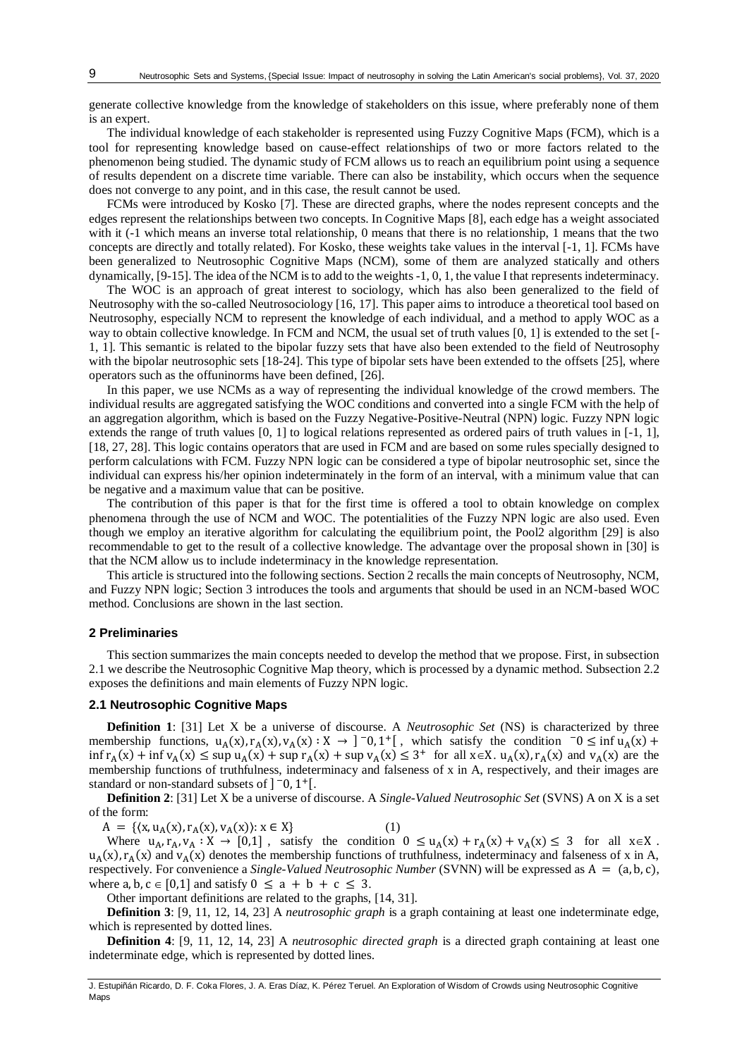generate collective knowledge from the knowledge of stakeholders on this issue, where preferably none of them is an expert.

The individual knowledge of each stakeholder is represented using Fuzzy Cognitive Maps (FCM), which is a tool for representing knowledge based on cause-effect relationships of two or more factors related to the phenomenon being studied. The dynamic study of FCM allows us to reach an equilibrium point using a sequence of results dependent on a discrete time variable. There can also be instability, which occurs when the sequence does not converge to any point, and in this case, the result cannot be used.

FCMs were introduced by Kosko [7]. These are directed graphs, where the nodes represent concepts and the edges represent the relationships between two concepts. In Cognitive Maps [8], each edge has a weight associated with it (-1 which means an inverse total relationship, 0 means that there is no relationship, 1 means that the two concepts are directly and totally related). For Kosko, these weights take values in the interval [-1, 1]. FCMs have been generalized to Neutrosophic Cognitive Maps (NCM), some of them are analyzed statically and others dynamically, [9-15]. The idea of the NCM is to add to the weights -1, 0, 1, the value I that represents indeterminacy.

The WOC is an approach of great interest to sociology, which has also been generalized to the field of Neutrosophy with the so-called Neutrosociology [16, 17]. This paper aims to introduce a theoretical tool based on Neutrosophy, especially NCM to represent the knowledge of each individual, and a method to apply WOC as a way to obtain collective knowledge. In FCM and NCM, the usual set of truth values [0, 1] is extended to the set [- 1, 1]. This semantic is related to the bipolar fuzzy sets that have also been extended to the field of Neutrosophy with the bipolar neutrosophic sets [18-24]. This type of bipolar sets have been extended to the offsets [25], where operators such as the offuninorms have been defined, [26].

In this paper, we use NCMs as a way of representing the individual knowledge of the crowd members. The individual results are aggregated satisfying the WOC conditions and converted into a single FCM with the help of an aggregation algorithm, which is based on the Fuzzy Negative-Positive-Neutral (NPN) logic. Fuzzy NPN logic extends the range of truth values [0, 1] to logical relations represented as ordered pairs of truth values in [-1, 1], [18, 27, 28]. This logic contains operators that are used in FCM and are based on some rules specially designed to perform calculations with FCM. Fuzzy NPN logic can be considered a type of bipolar neutrosophic set, since the individual can express his/her opinion indeterminately in the form of an interval, with a minimum value that can be negative and a maximum value that can be positive.

The contribution of this paper is that for the first time is offered a tool to obtain knowledge on complex phenomena through the use of NCM and WOC. The potentialities of the Fuzzy NPN logic are also used. Even though we employ an iterative algorithm for calculating the equilibrium point, the Pool2 algorithm [29] is also recommendable to get to the result of a collective knowledge. The advantage over the proposal shown in [30] is that the NCM allow us to include indeterminacy in the knowledge representation.

This article is structured into the following sections. Section 2 recalls the main concepts of Neutrosophy, NCM, and Fuzzy NPN logic; Section 3 introduces the tools and arguments that should be used in an NCM-based WOC method. Conclusions are shown in the last section.

#### **2 Preliminaries**

This section summarizes the main concepts needed to develop the method that we propose. First, in subsection 2.1 we describe the Neutrosophic Cognitive Map theory, which is processed by a dynamic method. Subsection 2.2 exposes the definitions and main elements of Fuzzy NPN logic.

## **2.1 Neutrosophic Cognitive Maps**

**Definition 1**: [31] Let X be a universe of discourse. A *Neutrosophic Set* (NS) is characterized by three membership functions,  $u_A(x)$ ,  $r_A(x)$ ,  $v_A(x)$ :  $X \to 0$ ,  $1^+$ [, which satisfy the condition  $0 \le \inf u_A(x) +$  $\inf r_A(x) + \inf v_A(x) \leq \sup u_A(x) + \sup r_A(x) + \sup v_A(x) \leq 3^+$  for all  $x \in X$ .  $u_A(x)$ ,  $r_A(x)$  and  $v_A(x)$  are the membership functions of truthfulness, indeterminacy and falseness of x in A, respectively, and their images are standard or non-standard subsets of  $]$  <sup>-</sup>0, 1<sup>+</sup>[.

**Definition 2**: [31] Let X be a universe of discourse. A *Single-Valued Neutrosophic Set* (SVNS) A on X is a set of the form:

 $A = \{ (x, u_A(x), r_A(x), v_A(x)) : x \in X \}$  (1)

Where  $u_A, r_A, v_A : X \to [0,1]$ , satisfy the condition  $0 \le u_A(x) + r_A(x) + v_A(x) \le 3$  for all  $x \in X$ .  $u_A(x)$ ,  $r_A(x)$  and  $v_A(x)$  denotes the membership functions of truthfulness, indeterminacy and falseness of x in A, respectively. For convenience a *Single-Valued Neutrosophic Number* (SVNN) will be expressed as A = (a, b, c), where a, b,  $c \in [0,1]$  and satisfy  $0 \le a + b + c \le 3$ .

Other important definitions are related to the graphs, [14, 31].

**Definition 3**: [9, 11, 12, 14, 23] A *neutrosophic graph* is a graph containing at least one indeterminate edge, which is represented by dotted lines.

**Definition 4**: [9, 11, 12, 14, 23] A *neutrosophic directed graph* is a directed graph containing at least one indeterminate edge, which is represented by dotted lines.

J. Estupiñán Ricardo, D. F. Coka Flores, J. A. Eras Díaz, K. Pérez Teruel. An Exploration of Wisdom of Crowds using Neutrosophic Cognitive Maps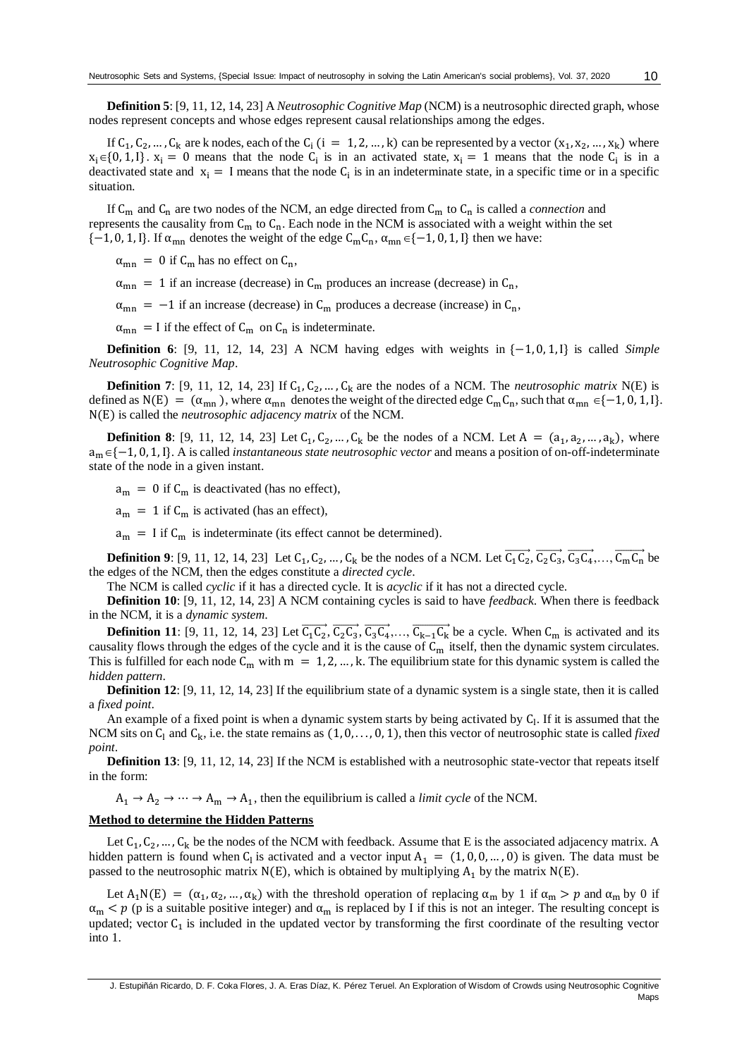**Definition 5**: [9, 11, 12, 14, 23] A *Neutrosophic Cognitive Map* (NCM) is a neutrosophic directed graph, whose nodes represent concepts and whose edges represent causal relationships among the edges.

If  $C_1, C_2, ..., C_k$  are k nodes, each of the  $C_i$  (i = 1, 2, …, k) can be represented by a vector  $(x_1, x_2, ..., x_k)$  where  $x_i \in \{0, 1, I\}$ .  $x_i = 0$  means that the node  $C_i$  is in an activated state,  $x_i = 1$  means that the node  $C_i$  is in a deactivated state and  $x_i = I$  means that the node  $C_i$  is in an indeterminate state, in a specific time or in a specific situation.

If  $C_m$  and  $C_n$  are two nodes of the NCM, an edge directed from  $C_m$  to  $C_n$  is called a *connection* and represents the causality from  $C_m$  to  $C_n$ . Each node in the NCM is associated with a weight within the set  ${-1, 0, 1, I}.$  If  $\alpha_{mn}$  denotes the weight of the edge  $C_mC_n$ ,  $\alpha_{mn} \in \{-1, 0, 1, I\}$  then we have:

 $\alpha_{mn}$  = 0 if C<sub>m</sub> has no effect on C<sub>n</sub>,

 $\alpha_{mn}$  = 1 if an increase (decrease) in C<sub>m</sub> produces an increase (decrease) in C<sub>n</sub>,

 $\alpha_{mn}$  = −1 if an increase (decrease) in C<sub>m</sub> produces a decrease (increase) in C<sub>n</sub>,

 $\alpha_{mn}$  = I if the effect of  $C_m$  on  $C_n$  is indeterminate.

**Definition 6**: [9, 11, 12, 14, 23] A NCM having edges with weights in {−1, 0, 1,I} is called *Simple Neutrosophic Cognitive Map*.

**Definition 7**: [9, 11, 12, 14, 23] If  $C_1, C_2, ..., C_k$  are the nodes of a NCM. The *neutrosophic matrix* N(E) is defined as N(E) =  $(\alpha_{mn})$ , where  $\alpha_{mn}$  denotes the weight of the directed edge  $C_mC_n$ , such that  $\alpha_{mn} \in \{-1, 0, 1, 1\}$ . N(E) is called the *neutrosophic adjacency matrix* of the NCM.

**Definition 8**: [9, 11, 12, 14, 23] Let  $C_1, C_2, ..., C_k$  be the nodes of a NCM. Let  $A = (a_1, a_2, ..., a_k)$ , where am{−1, 0, 1,I}. A is called *instantaneous state neutrosophic vector* and means a position of on-off-indeterminate state of the node in a given instant.

 $a_m = 0$  if  $C_m$  is deactivated (has no effect),

 $a_m = 1$  if  $C_m$  is activated (has an effect),

 $a_m$  = I if  $C_m$  is indeterminate (its effect cannot be determined).

**Definition 9**: [9, 11, 12, 14, 23] Let  $C_1, C_2, ..., C_k$  be the nodes of a NCM. Let  $\overline{C_1C_2}, \overline{C_2C_3}, \overline{C_3C_4}, ..., \overline{C_mC_n}$  be the edges of the NCM, then the edges constitute a *directed cycle*.

The NCM is called *cyclic* if it has a directed cycle. It is *acyclic* if it has not a directed cycle.

**Definition 10**: [9, 11, 12, 14, 23] A NCM containing cycles is said to have *feedback*. When there is feedback in the NCM, it is a *dynamic system*.

**Definition 11**: [9, 11, 12, 14, 23] Let  $\overline{C_1C_2}$ ,  $\overline{C_2C_3}$ ,  $\overline{C_3C_4}$ ,...,  $\overline{C_{k-1}C_k}$  be a cycle. When  $C_m$  is activated and its causality flows through the edges of the cycle and it is the cause of  $C_m$  itself, then the dynamic system circulates. This is fulfilled for each node  $C_m$  with  $m = 1, 2, ..., k$ . The equilibrium state for this dynamic system is called the *hidden pattern*.

**Definition 12**: [9, 11, 12, 14, 23] If the equilibrium state of a dynamic system is a single state, then it is called a *fixed point*.

An example of a fixed point is when a dynamic system starts by being activated by  $C<sub>l</sub>$ . If it is assumed that the NCM sits on  $C_1$  and  $C_k$ , i.e. the state remains as  $(1, 0, \ldots, 0, 1)$ , then this vector of neutrosophic state is called *fixed point*.

**Definition 13**: [9, 11, 12, 14, 23] If the NCM is established with a neutrosophic state-vector that repeats itself in the form:

 $A_1 \rightarrow A_2 \rightarrow \cdots \rightarrow A_m \rightarrow A_1$ , then the equilibrium is called a *limit cycle* of the NCM.

#### **Method to determine the Hidden Patterns**

Let  $C_1, C_2, ..., C_k$  be the nodes of the NCM with feedback. Assume that E is the associated adjacency matrix. A hidden pattern is found when  $C_1$  is activated and a vector input  $A_1 = (1, 0, 0, ..., 0)$  is given. The data must be passed to the neutrosophic matrix  $N(E)$ , which is obtained by multiplying  $A_1$  by the matrix  $N(E)$ .

Let  $A_1N(E) = (\alpha_1, \alpha_2, ..., \alpha_k)$  with the threshold operation of replacing  $\alpha_m$  by 1 if  $\alpha_m > p$  and  $\alpha_m$  by 0 if  $\alpha_m < p$  (p is a suitable positive integer) and  $\alpha_m$  is replaced by I if this is not an integer. The resulting concept is updated; vector  $C_1$  is included in the updated vector by transforming the first coordinate of the resulting vector into 1.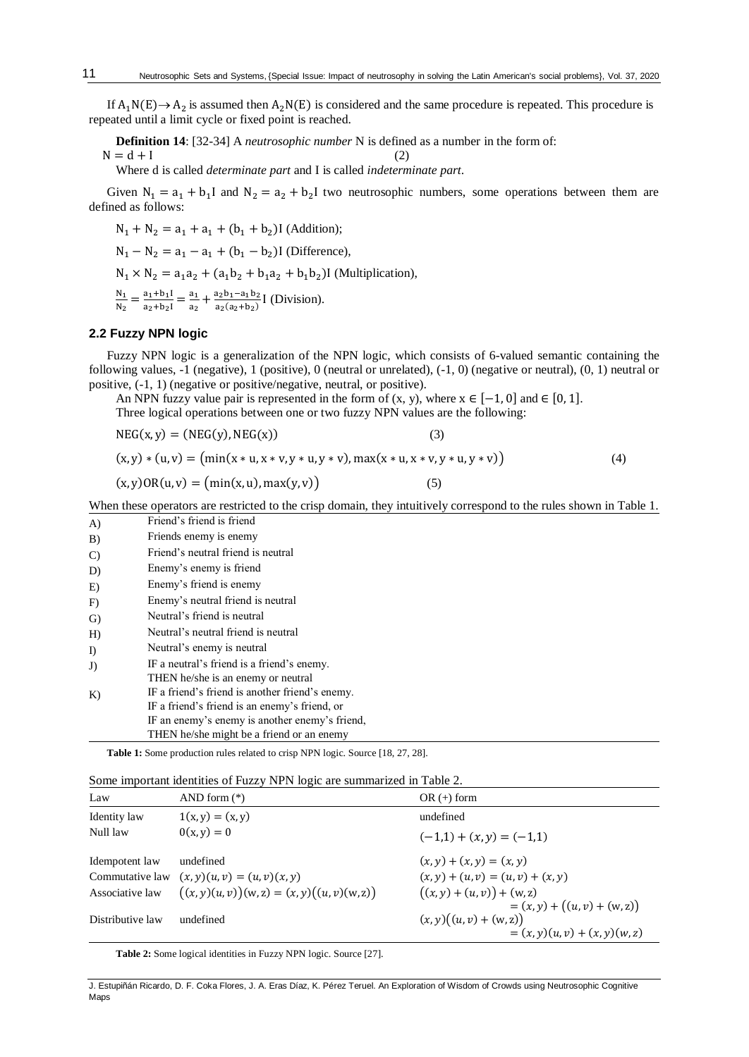If  $A_1N(E) \rightarrow A_2$  is assumed then  $A_2N(E)$  is considered and the same procedure is repeated. This procedure is repeated until a limit cycle or fixed point is reached.

**Definition 14**: [32-34] A *neutrosophic number* N is defined as a number in the form of:

 $N = d + I$  (2)

11

Where d is called *determinate part* and I is called *indeterminate part*.

Given  $N_1 = a_1 + b_1 I$  and  $N_2 = a_2 + b_2 I$  two neutrosophic numbers, some operations between them are defined as follows:

 $N_1 + N_2 = a_1 + a_1 + (b_1 + b_2)$ I (Addition);

 $N_1 - N_2 = a_1 - a_1 + (b_1 - b_2)$ I (Difference),

 $N_1 \times N_2 = a_1 a_2 + (a_1 b_2 + b_1 a_2 + b_1 b_2)$ I (Multiplication),

 $\frac{N_1}{N_1}$  $\frac{N_1}{N_2} = \frac{a_1 + b_1 I}{a_2 + b_2 I}$  $\frac{a_1+b_1I}{a_2+b_2I} = \frac{a_1}{a_2}$  $\frac{a_1}{a_2} + \frac{a_2b_1 - a_1b_2}{a_2(a_2+b_2)}$  $rac{a_2b_1-a_1b_2}{a_2(a_2+b_2)}$  [ (Division).

## **2.2 Fuzzy NPN logic**

Fuzzy NPN logic is a generalization of the NPN logic, which consists of 6-valued semantic containing the following values, -1 (negative), 1 (positive), 0 (neutral or unrelated), (-1, 0) (negative or neutral), (0, 1) neutral or positive, (-1, 1) (negative or positive/negative, neutral, or positive).

An NPN fuzzy value pair is represented in the form of  $(x, y)$ , where  $x \in [-1, 0]$  and  $\in [0, 1]$ . Three logical operations between one or two fuzzy NPN values are the following:

 $NEG(x, y) = (NEG(y), NEG(x))$  (3)

 $(x, y) * (u, v) = (min(x * u, x * v, y * u, y * v), max(x * u, x * v, y * u, y * v))$  (4)

$$
(x, y) \text{OR}(u, v) = (\min(x, u), \max(y, v))
$$
\n<sup>(5)</sup>

When these operators are restricted to the crisp domain, they intuitively correspond to the rules shown in Table 1.

| A)            | Friend's friend is friend                       |
|---------------|-------------------------------------------------|
| B)            | Friends enemy is enemy                          |
| $\mathcal{C}$ | Friend's neutral friend is neutral              |
| D)            | Enemy's enemy is friend                         |
| E)            | Enemy's friend is enemy                         |
| F)            | Enemy's neutral friend is neutral               |
| G)            | Neutral's friend is neutral                     |
| H             | Neutral's neutral friend is neutral             |
| $\Gamma$      | Neutral's enemy is neutral                      |
| J)            | IF a neutral's friend is a friend's enemy.      |
|               | THEN he/she is an enemy or neutral              |
| K)            | IF a friend's friend is another friend's enemy. |
|               | IF a friend's friend is an enemy's friend, or   |
|               | IF an enemy's enemy is another enemy's friend,  |
|               | THEN he/she might be a friend or an enemy       |

**Table 1:** Some production rules related to crisp NPN logic. Source [18, 27, 28].

| Law              | AND form $(*)$                                | $OR (+) form$                                                 |
|------------------|-----------------------------------------------|---------------------------------------------------------------|
| Identity law     | $1(x, y) = (x, y)$                            | undefined                                                     |
| Null law         | $0(x, y) = 0$                                 | $(-1,1) + (x, y) = (-1,1)$                                    |
| Idempotent law   | undefined                                     | $(x, y) + (x, y) = (x, y)$                                    |
| Commutative law  | $(x, y)(u, v) = (u, v)(x, y)$                 | $(x, y) + (u, v) = (u, v) + (x, y)$                           |
| Associative law  | $((x, y)(u, v))(w, z) = (x, y)((u, v)(w, z))$ | $((x, y) + (u, v)) + (w, z)$<br>$=(x, y) + ((u, v) + (w, z))$ |
| Distributive law | undefined                                     | $(x, y)((u, v) + (w, z))$<br>$=(x, y)(u, v) + (x, y)(w, z)$   |

**Table 2:** Some logical identities in Fuzzy NPN logic. Source [27].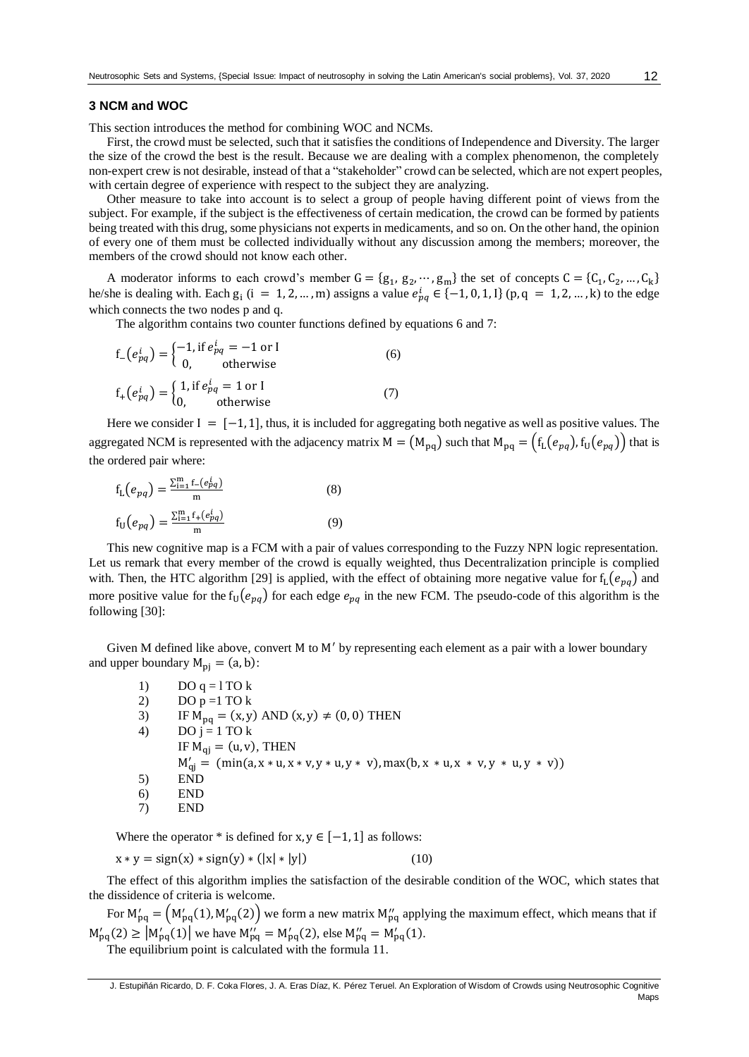## **3 NCM and WOC**

This section introduces the method for combining WOC and NCMs.

First, the crowd must be selected, such that it satisfies the conditions of Independence and Diversity. The larger the size of the crowd the best is the result. Because we are dealing with a complex phenomenon, the completely non-expert crew is not desirable, instead of that a "stakeholder" crowd can be selected, which are not expert peoples, with certain degree of experience with respect to the subject they are analyzing.

Other measure to take into account is to select a group of people having different point of views from the subject. For example, if the subject is the effectiveness of certain medication, the crowd can be formed by patients being treated with this drug, some physicians not experts in medicaments, and so on. On the other hand, the opinion of every one of them must be collected individually without any discussion among the members; moreover, the members of the crowd should not know each other.

A moderator informs to each crowd's member  $G = \{g_1, g_2, \dots, g_m\}$  the set of concepts  $C = \{C_1, C_2, \dots, C_k\}$ he/she is dealing with. Each  $g_i$  (i = 1, 2, ..., m) assigns a value  $e_{pq}^i \in \{-1, 0, 1, 1\}$  (p, q = 1, 2, ..., k) to the edge which connects the two nodes p and q.

The algorithm contains two counter functions defined by equations 6 and 7:

$$
f_{-}\left(e_{pq}^{i}\right) = \begin{cases} -1, & \text{if } e_{pq}^{i} = -1 \text{ or } I \\ 0, & \text{otherwise} \end{cases}
$$
\n
$$
f_{+}\left(e_{pq}^{i}\right) = \begin{cases} 1, & \text{if } e_{pq}^{i} = 1 \text{ or } I \\ 0, & \text{otherwise} \end{cases}
$$
\n(7)

Here we consider  $I = [-1, 1]$ , thus, it is included for aggregating both negative as well as positive values. The aggregated NCM is represented with the adjacency matrix  $M = (M_{pq})$  such that  $M_{pq} = (f_L(e_{pq}), f_U(e_{pq}))$  that is the ordered pair where:

$$
f_{L}(e_{pq}) = \frac{\sum_{i=1}^{m} f_{-}(e_{pq}^{i})}{m}
$$
\n
$$
f_{U}(e_{pq}) = \frac{\sum_{i=1}^{m} f_{+}(e_{pq}^{i})}{m}
$$
\n(8)

This new cognitive map is a FCM with a pair of values corresponding to the Fuzzy NPN logic representation. Let us remark that every member of the crowd is equally weighted, thus Decentralization principle is complied with. Then, the HTC algorithm [29] is applied, with the effect of obtaining more negative value for  $f_L(e_{pq})$  and more positive value for the  $f_U(e_{pq})$  for each edge  $e_{pq}$  in the new FCM. The pseudo-code of this algorithm is the following [30]:

Given M defined like above*,* convert M to M′ by representing each element as a pair with a lower boundary and upper boundary  $M_{pj} = (a, b)$ :

| 1) | DO $q = 1$ TO $k$                                                                    |
|----|--------------------------------------------------------------------------------------|
| 2) | DO $p = 1$ TO $k$                                                                    |
| 3) | IF $M_{pq} = (x, y)$ AND $(x, y) \neq (0, 0)$ THEN                                   |
| 4) | DO $i = 1$ TO k                                                                      |
|    | IF $M_{qi} = (u, v)$ , THEN                                                          |
|    | $M'_{qi} = (min(a, x * u, x * v, y * u, y * v), max(b, x * u, x * v, y * u, y * v))$ |
| 5) | <b>END</b>                                                                           |
| 6) | END                                                                                  |
| 7) | END                                                                                  |

Where the operator \* is defined for  $x, y \in [-1, 1]$  as follows:

 $x * y = sign(x) * sign(y) * (|x| * |y|)$  (10)

The effect of this algorithm implies the satisfaction of the desirable condition of the WOC, which states that the dissidence of criteria is welcome.

For  $M'_{pq} = (M'_{pq}(1), M'_{pq}(2))$  we form a new matrix  $M''_{pq}$  applying the maximum effect, which means that if  $M'_{pq}(2) \ge |M'_{pq}(1)|$  we have  $M''_{pq} = M'_{pq}(2)$ , else  $M''_{pq} = M'_{pq}(1)$ .

The equilibrium point is calculated with the formula 11.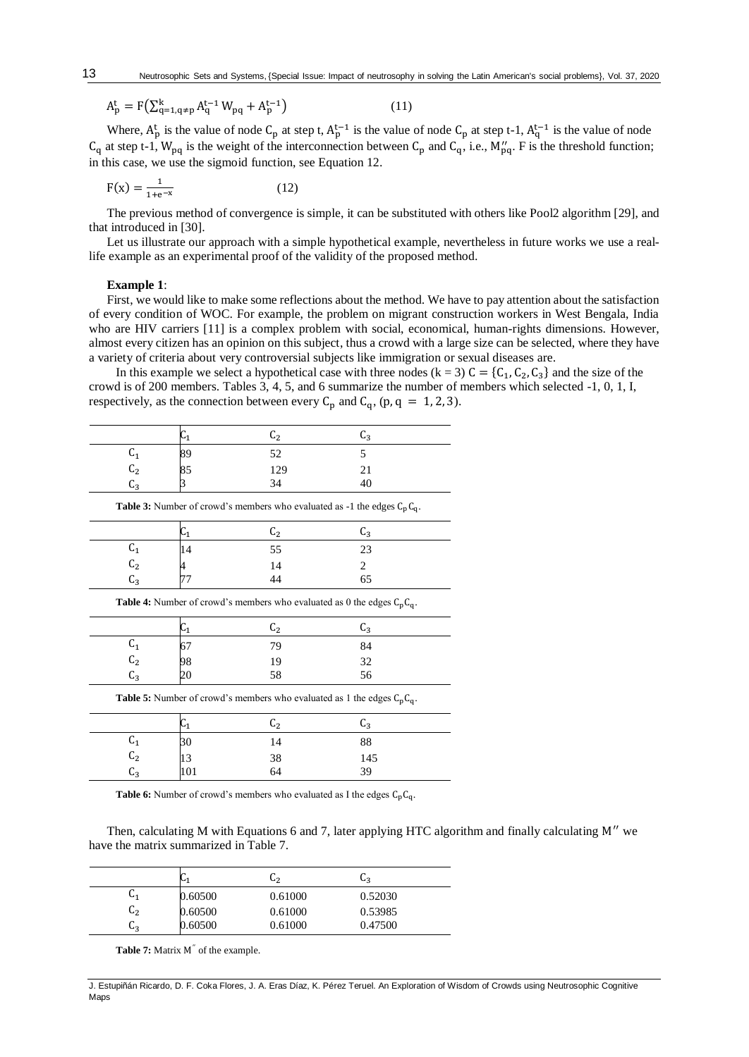$$
A_p^t = F\left(\sum_{q=1,q \neq p}^k A_q^{t-1} W_{pq} + A_p^{t-1}\right)
$$
 (11)

Where,  $A_p^t$  is the value of node  $C_p$  at step t,  $A_p^{t-1}$  is the value of node  $C_p$  at step t-1,  $A_q^{t-1}$  is the value of node  $C_q$  at step t-1,  $W_{pq}$  is the weight of the interconnection between  $C_p$  and  $C_q$ , i.e.,  $M''_{pq}$ . F is the threshold function; in this case, we use the sigmoid function, see Equation 12.

$$
F(x) = \frac{1}{1 + e^{-x}}
$$
 (12)

The previous method of convergence is simple, it can be substituted with others like Pool2 algorithm [29], and that introduced in [30].

Let us illustrate our approach with a simple hypothetical example, nevertheless in future works we use a reallife example as an experimental proof of the validity of the proposed method.

#### **Example 1**:

First, we would like to make some reflections about the method. We have to pay attention about the satisfaction of every condition of WOC. For example, the problem on migrant construction workers in West Bengala, India who are HIV carriers [11] is a complex problem with social, economical, human-rights dimensions. However, almost every citizen has an opinion on this subject, thus a crowd with a large size can be selected, where they have a variety of criteria about very controversial subjects like immigration or sexual diseases are.

In this example we select a hypothetical case with three nodes  $(k = 3) C = {C_1, C_2, C_3}$  and the size of the crowd is of 200 members. Tables 3, 4, 5, and 6 summarize the number of members which selected -1, 0, 1, I, respectively, as the connection between every  $C_p$  and  $C_q$ , (p, q = 1, 2, 3).

|                                                                                    | $C_1$ | C <sub>2</sub> | $C_3$ |  |  |  |
|------------------------------------------------------------------------------------|-------|----------------|-------|--|--|--|
| $C_1$                                                                              | 89    | 52             | 5     |  |  |  |
| C <sub>2</sub>                                                                     | 85    | 129            | 21    |  |  |  |
| $C_3$                                                                              |       | 34             | 40    |  |  |  |
| <b>Table 3:</b> Number of crowd's members who evaluated as -1 the edges $C_pC_q$ . |       |                |       |  |  |  |
|                                                                                    | $C_1$ | C <sub>2</sub> | $C_3$ |  |  |  |
| $C_1$                                                                              | 14    | 55             | 23    |  |  |  |
| C <sub>2</sub>                                                                     | 4     | 14             | 2     |  |  |  |
| $C_3$                                                                              | 77    | 44             | 65    |  |  |  |
| <b>Table 4:</b> Number of crowd's members who evaluated as 0 the edges $C_pC_q$ .  |       |                |       |  |  |  |
|                                                                                    | $C_1$ | C <sub>2</sub> | $C_3$ |  |  |  |
| $C_1$                                                                              | 67    | 79             | 84    |  |  |  |
| C <sub>2</sub>                                                                     | 98    | 19             | 32    |  |  |  |
| $C_3$                                                                              | 20    | 58             | 56    |  |  |  |
| <b>Table 5:</b> Number of crowd's members who evaluated as 1 the edges $C_pC_q$ .  |       |                |       |  |  |  |
|                                                                                    | $C_1$ | C <sub>2</sub> | $C_3$ |  |  |  |
| $C_1$                                                                              | 30    | 14             | 88    |  |  |  |
| C <sub>2</sub>                                                                     | 13    | 38             | 145   |  |  |  |
| $C_3$                                                                              | 101   | 64             | 39    |  |  |  |

**Table 6:** Number of crowd's members who evaluated as I the edges  $C_pC_q$ .

Then, calculating M with Equations 6 and 7, later applying HTC algorithm and finally calculating M′′ we have the matrix summarized in Table 7.

|                | ∾1      | სշ      | UЗ      |
|----------------|---------|---------|---------|
| ֊լ             | 0.60500 | 0.61000 | 0.52030 |
| $\mathsf{L}_2$ | 0.60500 | 0.61000 | 0.53985 |
| სვ             | 0.60500 | 0.61000 | 0.47500 |

Table 7: Matrix M<sup>"</sup> of the example.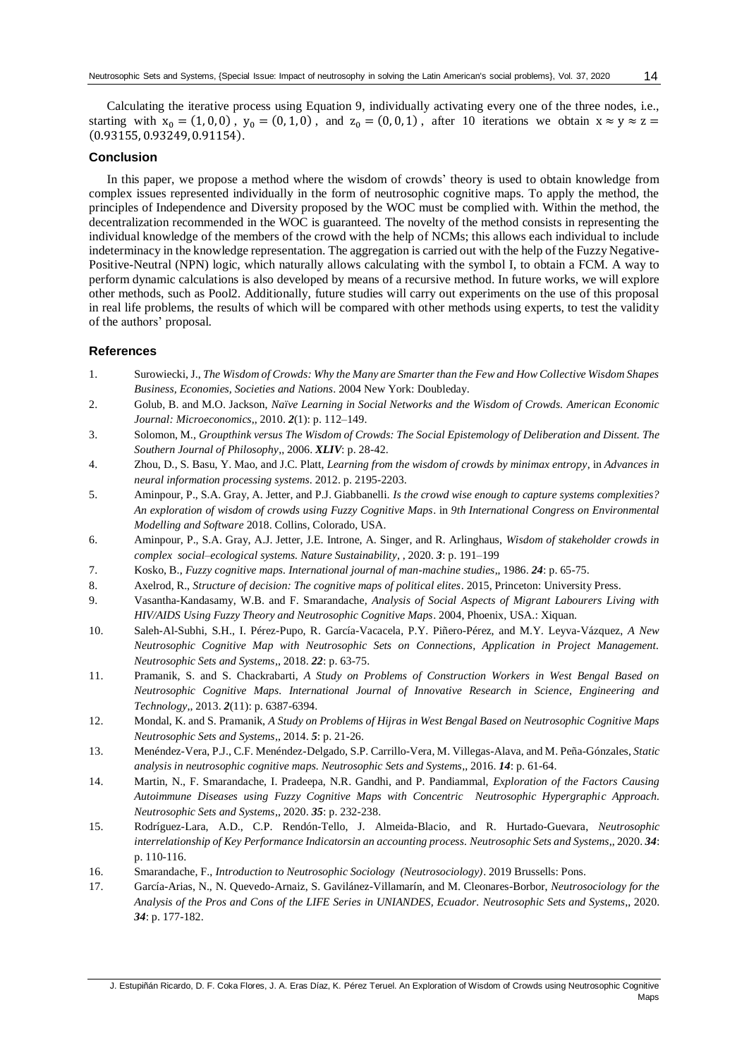Calculating the iterative process using Equation 9, individually activating every one of the three nodes, i.e., starting with  $x_0 = (1, 0, 0)$ ,  $y_0 = (0, 1, 0)$ , and  $z_0 = (0, 0, 1)$ , after 10 iterations we obtain  $x \approx y \approx z =$ (0.93155, 0.93249, 0.91154).

## **Conclusion**

In this paper, we propose a method where the wisdom of crowds' theory is used to obtain knowledge from complex issues represented individually in the form of neutrosophic cognitive maps. To apply the method, the principles of Independence and Diversity proposed by the WOC must be complied with. Within the method, the decentralization recommended in the WOC is guaranteed. The novelty of the method consists in representing the individual knowledge of the members of the crowd with the help of NCMs; this allows each individual to include indeterminacy in the knowledge representation. The aggregation is carried out with the help of the Fuzzy Negative-Positive-Neutral (NPN) logic, which naturally allows calculating with the symbol I, to obtain a FCM. A way to perform dynamic calculations is also developed by means of a recursive method. In future works, we will explore other methods, such as Pool2. Additionally, future studies will carry out experiments on the use of this proposal in real life problems, the results of which will be compared with other methods using experts, to test the validity of the authors' proposal.

## **References**

- 1. Surowiecki, J., *The Wisdom of Crowds: Why the Many are Smarter than the Few and How Collective Wisdom Shapes Business, Economies, Societies and Nations*. 2004 New York: Doubleday.
- 2. Golub, B. and M.O. Jackson, *Naïve Learning in Social Networks and the Wisdom of Crowds. American Economic Journal: Microeconomics*,, 2010. *2*(1): p. 112–149.
- 3. Solomon, M., *Groupthink versus The Wisdom of Crowds: The Social Epistemology of Deliberation and Dissent. The Southern Journal of Philosophy*,, 2006. *XLIV*: p. 28-42.
- 4. Zhou, D., S. Basu, Y. Mao, and J.C. Platt, *Learning from the wisdom of crowds by minimax entropy*, in *Advances in neural information processing systems*. 2012. p. 2195-2203.
- 5. Aminpour, P., S.A. Gray, A. Jetter, and P.J. Giabbanelli. *Is the crowd wise enough to capture systems complexities? An exploration of wisdom of crowds using Fuzzy Cognitive Maps*. in *9th International Congress on Environmental Modelling and Software* 2018. Collins, Colorado, USA.
- 6. Aminpour, P., S.A. Gray, A.J. Jetter, J.E. Introne, A. Singer, and R. Arlinghaus, *Wisdom of stakeholder crowds in complex social–ecological systems. Nature Sustainability*, , 2020. *3*: p. 191–199
- 7. Kosko, B., *Fuzzy cognitive maps. International journal of man-machine studies*,, 1986. *24*: p. 65-75.
- 8. Axelrod, R., *Structure of decision: The cognitive maps of political elites*. 2015, Princeton: University Press.
- 9. Vasantha-Kandasamy, W.B. and F. Smarandache, *Analysis of Social Aspects of Migrant Labourers Living with HIV/AIDS Using Fuzzy Theory and Neutrosophic Cognitive Maps*. 2004, Phoenix, USA.: Xiquan.
- 10. Saleh-Al-Subhi, S.H., I. Pérez-Pupo, R. García-Vacacela, P.Y. Piñero-Pérez, and M.Y. Leyva-Vázquez, *A New Neutrosophic Cognitive Map with Neutrosophic Sets on Connections, Application in Project Management. Neutrosophic Sets and Systems*,, 2018. *22*: p. 63-75.
- 11. Pramanik, S. and S. Chackrabarti, *A Study on Problems of Construction Workers in West Bengal Based on Neutrosophic Cognitive Maps. International Journal of Innovative Research in Science, Engineering and Technology*,, 2013. *2*(11): p. 6387-6394.
- 12. Mondal, K. and S. Pramanik, *A Study on Problems of Hijras in West Bengal Based on Neutrosophic Cognitive Maps Neutrosophic Sets and Systems*,, 2014. *5*: p. 21-26.
- 13. Menéndez-Vera, P.J., C.F. Menéndez-Delgado, S.P. Carrillo-Vera, M. Villegas-Alava, and M. Peña-Gónzales, *Static analysis in neutrosophic cognitive maps. Neutrosophic Sets and Systems*,, 2016. *14*: p. 61-64.
- 14. Martin, N., F. Smarandache, I. Pradeepa, N.R. Gandhi, and P. Pandiammal, *Exploration of the Factors Causing Autoimmune Diseases using Fuzzy Cognitive Maps with Concentric Neutrosophic Hypergraphic Approach. Neutrosophic Sets and Systems*,, 2020. *35*: p. 232-238.
- 15. Rodríguez-Lara, A.D., C.P. Rendón-Tello, J. Almeida-Blacio, and R. Hurtado-Guevara, *Neutrosophic interrelationship of Key Performance Indicatorsin an accounting process. Neutrosophic Sets and Systems*,, 2020. *34*: p. 110-116.
- 16. Smarandache, F., *Introduction to Neutrosophic Sociology (Neutrosociology)*. 2019 Brussells: Pons.
- 17. García-Arias, N., N. Quevedo-Arnaiz, S. Gavilánez-Villamarín, and M. Cleonares-Borbor, *Neutrosociology for the Analysis of the Pros and Cons of the LIFE Series in UNIANDES, Ecuador. Neutrosophic Sets and Systems*,, 2020. *34*: p. 177-182.